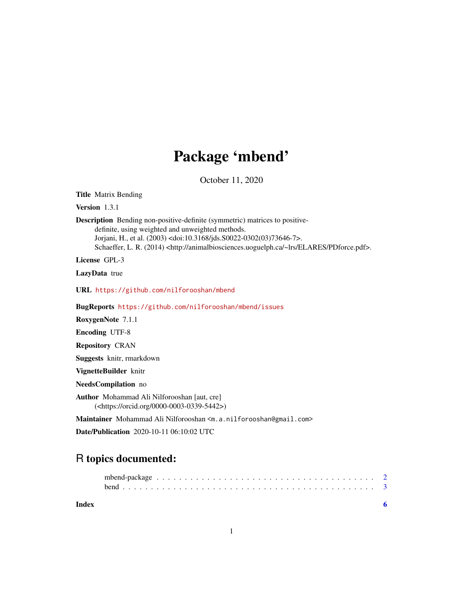## Package 'mbend'

October 11, 2020

Title Matrix Bending

Version 1.3.1

Description Bending non-positive-definite (symmetric) matrices to positivedefinite, using weighted and unweighted methods. Jorjani, H., et al. (2003) <doi:10.3168/jds.S0022-0302(03)73646-7>. Schaeffer, L. R. (2014) <http://animalbiosciences.uoguelph.ca/~lrs/ELARES/PDforce.pdf>.

License GPL-3

LazyData true

URL <https://github.com/nilforooshan/mbend>

BugReports <https://github.com/nilforooshan/mbend/issues>

RoxygenNote 7.1.1

Encoding UTF-8

Repository CRAN

Suggests knitr, rmarkdown

VignetteBuilder knitr

NeedsCompilation no

Author Mohammad Ali Nilforooshan [aut, cre] (<https://orcid.org/0000-0003-0339-5442>)

Maintainer Mohammad Ali Nilforooshan <m.a.nilforooshan@gmail.com>

Date/Publication 2020-10-11 06:10:02 UTC

### R topics documented:

| Index |  |  |  |  |  |  |  |  |  |  |  |  |  |  |  |  |  |
|-------|--|--|--|--|--|--|--|--|--|--|--|--|--|--|--|--|--|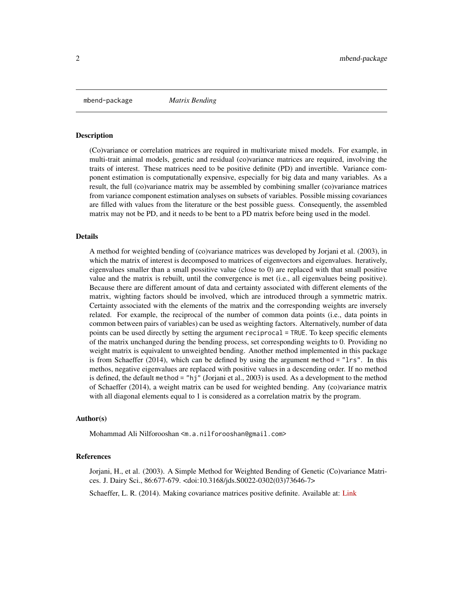<span id="page-1-0"></span>mbend-package *Matrix Bending*

#### **Description**

(Co)variance or correlation matrices are required in multivariate mixed models. For example, in multi-trait animal models, genetic and residual (co)variance matrices are required, involving the traits of interest. These matrices need to be positive definite (PD) and invertible. Variance component estimation is computationally expensive, especially for big data and many variables. As a result, the full (co)variance matrix may be assembled by combining smaller (co)variance matrices from variance component estimation analyses on subsets of variables. Possible missing covariances are filled with values from the literature or the best possible guess. Consequently, the assembled matrix may not be PD, and it needs to be bent to a PD matrix before being used in the model.

#### Details

A method for weighted bending of (co)variance matrices was developed by Jorjani et al. (2003), in which the matrix of interest is decomposed to matrices of eigenvectors and eigenvalues. Iteratively, eigenvalues smaller than a small possitive value (close to 0) are replaced with that small positive value and the matrix is rebuilt, until the convergence is met (i.e., all eigenvalues being positive). Because there are different amount of data and certainty associated with different elements of the matrix, wighting factors should be involved, which are introduced through a symmetric matrix. Certainty associated with the elements of the matrix and the corresponding weights are inversely related. For example, the reciprocal of the number of common data points (i.e., data points in common between pairs of variables) can be used as weighting factors. Alternatively, number of data points can be used directly by setting the argument reciprocal = TRUE. To keep specific elements of the matrix unchanged during the bending process, set corresponding weights to 0. Providing no weight matrix is equivalent to unweighted bending. Another method implemented in this package is from Schaeffer (2014), which can be defined by using the argument method = "lrs". In this methos, negative eigenvalues are replaced with positive values in a descending order. If no method is defined, the default method = "hj" (Jorjani et al., 2003) is used. As a development to the method of Schaeffer (2014), a weight matrix can be used for weighted bending. Any (co)variance matrix with all diagonal elements equal to 1 is considered as a correlation matrix by the program.

#### Author(s)

Mohammad Ali Nilforooshan <m.a.nilforooshan@gmail.com>

#### References

Jorjani, H., et al. (2003). A Simple Method for Weighted Bending of Genetic (Co)variance Matrices. J. Dairy Sci., 86:677-679. <doi:10.3168/jds.S0022-0302(03)73646-7>

Schaeffer, L. R. (2014). Making covariance matrices positive definite. Available at: [Link](http://animalbiosciences.uoguelph.ca/~lrs/ELARES/PDforce.pdf)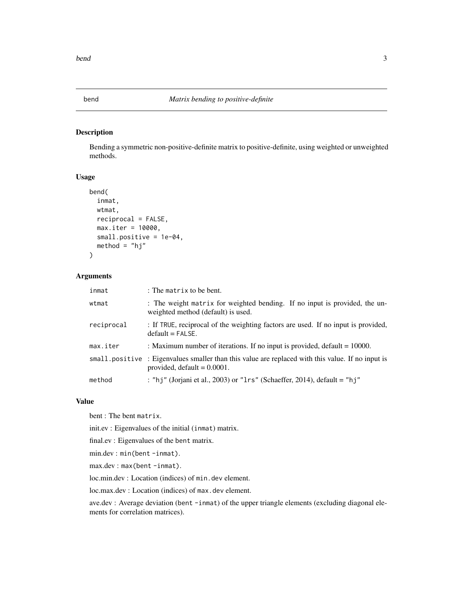<span id="page-2-0"></span>

#### Description

Bending a symmetric non-positive-definite matrix to positive-definite, using weighted or unweighted methods.

#### Usage

```
bend(
  inmat,
 wtmat,
  reciprocal = FALSE,
 max.iter = 10000,
  small.positive = 1e-04,
 method = "hj"
```
#### Arguments

 $\lambda$ 

| inmat      | : The matrix to be bent.                                                                                                           |
|------------|------------------------------------------------------------------------------------------------------------------------------------|
| wtmat      | : The weight matrix for weighted bending. If no input is provided, the un-<br>weighted method (default) is used.                   |
| reciprocal | : If TRUE, reciprocal of the weighting factors are used. If no input is provided,<br>$default = FALSE.$                            |
| max.iter   | : Maximum number of iterations. If no input is provided, default $= 10000$ .                                                       |
|            | small positive: Eigenvalues smaller than this value are replaced with this value. If no input is<br>provided, default $= 0.0001$ . |
| method     | : "hj" (Jorjani et al., 2003) or "1rs" (Schaeffer, 2014), default = "hj"                                                           |

#### Value

bent : The bent matrix.

init.ev : Eigenvalues of the initial (inmat) matrix.

final.ev : Eigenvalues of the bent matrix.

min.dev : min(bent -inmat).

max.dev: max(bent-inmat).

loc.min.dev : Location (indices) of min.dev element.

loc.max.dev : Location (indices) of max.dev element.

ave.dev : Average deviation (bent -inmat) of the upper triangle elements (excluding diagonal elements for correlation matrices).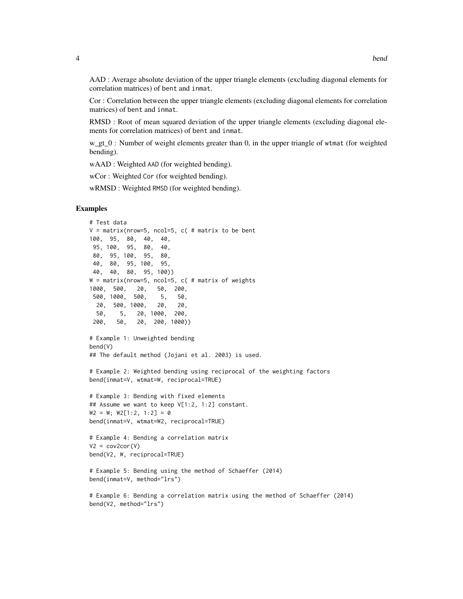AAD : Average absolute deviation of the upper triangle elements (excluding diagonal elements for correlation matrices) of bent and inmat.

Cor : Correlation between the upper triangle elements (excluding diagonal elements for correlation matrices) of bent and inmat.

RMSD : Root of mean squared deviation of the upper triangle elements (excluding diagonal elements for correlation matrices) of bent and inmat.

w\_gt\_0 : Number of weight elements greater than 0, in the upper triangle of wtmat (for weighted bending).

wAAD : Weighted AAD (for weighted bending).

wCor : Weighted Cor (for weighted bending).

wRMSD : Weighted RMSD (for weighted bending).

#### Examples

```
# Test data
V = matrix(nrow=5, ncol=5, c( # matrix to be bent100, 95, 80, 40, 40,
95, 100, 95, 80, 40,
80, 95, 100, 95, 80,
40, 80, 95, 100, 95,
40, 40, 80, 95, 100))
W = matrix(nrow=5, ncol=5, c( # matrix of weights1000, 500, 20, 50, 200,
500, 1000, 500, 5, 50,
 20, 500, 1000, 20, 20,
 50, 5, 20, 1000, 200,
200, 50, 20, 200, 1000))
# Example 1: Unweighted bending
bend(V)
## The default method (Jojani et al. 2003) is used.
# Example 2: Weighted bending using reciprocal of the weighting factors
bend(inmat=V, wtmat=W, reciprocal=TRUE)
# Example 3: Bending with fixed elements
## Assume we want to keep V[1:2, 1:2] constant.
W2 = W; W2[1:2, 1:2] = 0bend(inmat=V, wtmat=W2, reciprocal=TRUE)
# Example 4: Bending a correlation matrix
V2 = cov2cor(V)bend(V2, W, reciprocal=TRUE)
# Example 5: Bending using the method of Schaeffer (2014)
bend(inmat=V, method="lrs")
```

```
# Example 6: Bending a correlation matrix using the method of Schaeffer (2014)
bend(V2, method="lrs")
```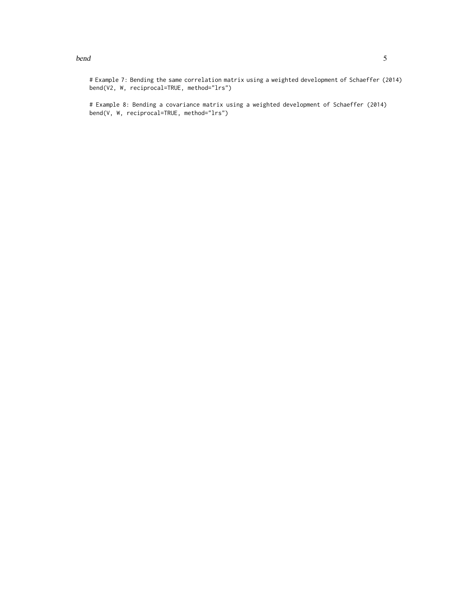#### bend 5

# Example 8: Bending a covariance matrix using a weighted development of Schaeffer (2014) bend(V, W, reciprocal=TRUE, method="lrs")